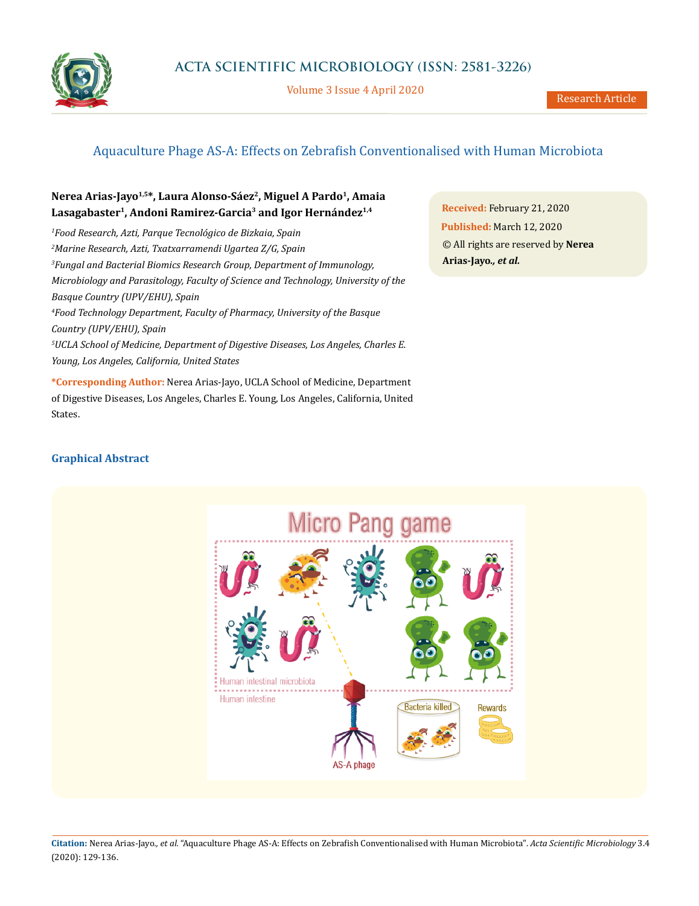

Volume 3 Issue 4 April 2020

# Aquaculture Phage AS-A: Effects on Zebrafish Conventionalised with Human Microbiota

# Nerea Arias-Jayo<sup>1,5\*</sup>, Laura Alonso-Sáez<sup>2</sup>, Miguel A Pardo<sup>1</sup>, Amaia **Lasagabaster1, Andoni Ramirez-Garcia3 and Igor Hernández1,4**

*1 Food Research, Azti, Parque Tecnológico de Bizkaia, Spain 2 Marine Research, Azti, Txatxarramendi Ugartea Z/G, Spain 3 Fungal and Bacterial Biomics Research Group, Department of Immunology, Microbiology and Parasitology, Faculty of Science and Technology, University of the Basque Country (UPV/EHU), Spain 4 Food Technology Department, Faculty of Pharmacy, University of the Basque Country (UPV/EHU), Spain 5 UCLA School of Medicine, Department of Digestive Diseases, Los Angeles, Charles E. Young, Los Angeles, California, United States*

**\*Corresponding Author:** Nerea Arias-Jayo, UCLA School of Medicine, Department of Digestive Diseases, Los Angeles, Charles E. Young, Los Angeles, California, United States.

**Received:** February 21, 2020 **Published:** March 12, 2020 © All rights are reserved by **Nerea Arias-Jayo***., et al.*

# **Graphical Abstract**



**Citation:** Nerea Arias-Jayo*., et al.* "Aquaculture Phage AS-A: Effects on Zebrafish Conventionalised with Human Microbiota". *Acta Scientific Microbiology* 3.4 (2020): 129-136.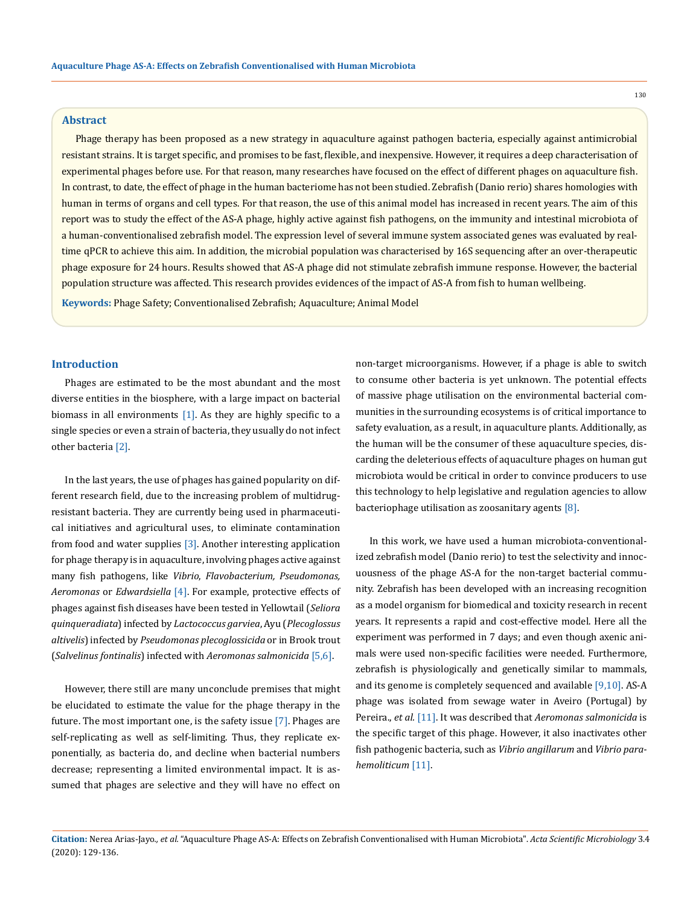### **Abstract**

Phage therapy has been proposed as a new strategy in aquaculture against pathogen bacteria, especially against antimicrobial resistant strains. It is target specific, and promises to be fast, flexible, and inexpensive. However, it requires a deep characterisation of experimental phages before use. For that reason, many researches have focused on the effect of different phages on aquaculture fish. In contrast, to date, the effect of phage in the human bacteriome has not been studied. Zebrafish (Danio rerio) shares homologies with human in terms of organs and cell types. For that reason, the use of this animal model has increased in recent years. The aim of this report was to study the effect of the AS-A phage, highly active against fish pathogens, on the immunity and intestinal microbiota of a human-conventionalised zebrafish model. The expression level of several immune system associated genes was evaluated by realtime qPCR to achieve this aim. In addition, the microbial population was characterised by 16S sequencing after an over-therapeutic phage exposure for 24 hours. Results showed that AS-A phage did not stimulate zebrafish immune response. However, the bacterial population structure was affected. This research provides evidences of the impact of AS-A from fish to human wellbeing.

**Keywords:** Phage Safety; Conventionalised Zebrafish; Aquaculture; Animal Model

### **Introduction**

Phages are estimated to be the most abundant and the most diverse entities in the biosphere, with a large impact on bacterial biomass in all environments [1]. As they are highly specific to a single species or even a strain of bacteria, they usually do not infect other bacteria [2].

In the last years, the use of phages has gained popularity on different research field, due to the increasing problem of multidrugresistant bacteria. They are currently being used in pharmaceutical initiatives and agricultural uses, to eliminate contamination from food and water supplies [3]. Another interesting application for phage therapy is in aquaculture, involving phages active against many fish pathogens, like *Vibrio*, *Flavobacterium, Pseudomonas, Aeromonas* or *Edwardsiella* [4]. For example, protective effects of phages against fish diseases have been tested in Yellowtail (*Seliora quinqueradiata*) infected by *Lactococcus garviea*, Ayu (*Plecoglossus altivelis*) infected by *Pseudomonas plecoglossicida* or in Brook trout (*Salvelinus fontinalis*) infected with *Aeromonas salmonicida* [5,6].

However, there still are many unconclude premises that might be elucidated to estimate the value for the phage therapy in the future. The most important one, is the safety issue [7]. Phages are self-replicating as well as self-limiting. Thus, they replicate exponentially, as bacteria do, and decline when bacterial numbers decrease; representing a limited environmental impact. It is assumed that phages are selective and they will have no effect on non-target microorganisms. However, if a phage is able to switch to consume other bacteria is yet unknown. The potential effects of massive phage utilisation on the environmental bacterial communities in the surrounding ecosystems is of critical importance to safety evaluation, as a result, in aquaculture plants. Additionally, as the human will be the consumer of these aquaculture species, discarding the deleterious effects of aquaculture phages on human gut microbiota would be critical in order to convince producers to use this technology to help legislative and regulation agencies to allow bacteriophage utilisation as zoosanitary agents [8].

In this work, we have used a human microbiota-conventionalized zebrafish model (Danio rerio) to test the selectivity and innocuousness of the phage AS-A for the non-target bacterial community. Zebrafish has been developed with an increasing recognition as a model organism for biomedical and toxicity research in recent years. It represents a rapid and cost-effective model. Here all the experiment was performed in 7 days; and even though axenic animals were used non-specific facilities were needed. Furthermore, zebrafish is physiologically and genetically similar to mammals, and its genome is completely sequenced and available [9,10]. AS-A phage was isolated from sewage water in Aveiro (Portugal) by Pereira., *et al.* [11]. It was described that *Aeromonas salmonicida* is the specific target of this phage. However, it also inactivates other fish pathogenic bacteria, such as *Vibrio angillarum* and *Vibrio parahemoliticum* [11].

130

**Citation:** Nerea Arias-Jayo*., et al.* "Aquaculture Phage AS-A: Effects on Zebrafish Conventionalised with Human Microbiota". *Acta Scientific Microbiology* 3.4 (2020): 129-136.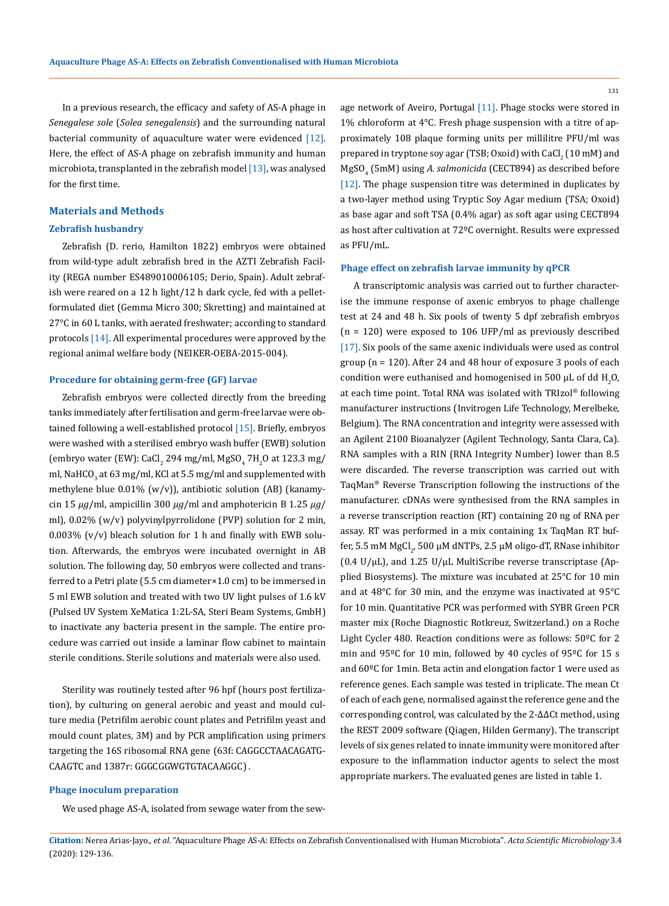In a previous research, the efficacy and safety of AS-A phage in *Senegalese sole* (*Solea senegalensis*) and the surrounding natural bacterial community of aquaculture water were evidenced [12]. Here, the effect of AS-A phage on zebrafish immunity and human microbiota, transplanted in the zebrafish model  $[13]$ , was analysed for the first time.

### **Materials and Methods**

### **Zebrafish husbandry**

Zebrafish (D. rerio, Hamilton 1822) embryos were obtained from wild-type adult zebrafish bred in the AZTI Zebrafish Facility (REGA number ES489010006105; Derio, Spain). Adult zebrafish were reared on a 12 h light/12 h dark cycle, fed with a pelletformulated diet (Gemma Micro 300; Skretting) and maintained at 27°C in 60 L tanks, with aerated freshwater; according to standard protocols [14]. All experimental procedures were approved by the regional animal welfare body (NEIKER-OEBA-2015-004).

#### **Procedure for obtaining germ-free (GF) larvae**

Zebrafish embryos were collected directly from the breeding tanks immediately after fertilisation and germ-free larvae were obtained following a well-established protocol [15]. Briefly, embryos were washed with a sterilised embryo wash buffer (EWB) solution (embryo water (EW): CaCl<sub>2</sub> 294 mg/ml, MgSO<sub>4</sub> 7H<sub>2</sub>O at 123.3 mg/ ml, NaHCO $_3$  at 63 mg/ml, KCl at 5.5 mg/ml and supplemented with methylene blue 0.01% (w/v)), antibiotic solution (AB) (kanamycin 15 *μg*/ml, ampicillin 300 *μg*/ml and amphotericin B 1.25 *μg*/ ml), 0.02% (w/v) polyvinylpyrrolidone (PVP) solution for 2 min,  $0.003\%$  (v/v) bleach solution for 1 h and finally with EWB solution. Afterwards, the embryos were incubated overnight in AB solution. The following day, 50 embryos were collected and transferred to a Petri plate (5.5 cm diameter×1.0 cm) to be immersed in 5 ml EWB solution and treated with two UV light pulses of 1.6 kV (Pulsed UV System XeMatica 1:2L-SA, Steri Beam Systems, GmbH) to inactivate any bacteria present in the sample. The entire procedure was carried out inside a laminar flow cabinet to maintain sterile conditions. Sterile solutions and materials were also used.

Sterility was routinely tested after 96 hpf (hours post fertilization), by culturing on general aerobic and yeast and mould culture media (Petrifilm aerobic count plates and Petrifilm yeast and mould count plates, 3M) and by PCR amplification using primers targeting the 16S ribosomal RNA gene (63f: CAGGCCTAACAGATG-CAAGTC and 1387r: GGGCGGWGTGTACAAGGC) .

age network of Aveiro, Portugal [11]. Phage stocks were stored in 1% chloroform at 4°C. Fresh phage suspension with a titre of approximately 108 plaque forming units per millilitre PFU/ml was prepared in tryptone soy agar (TSB; Oxoid) with  $\mathtt{CaCl}_2^{\phantom i}$  (10 mM) and MgSO<sup>4</sup> (5mM) using *A. salmonicida* (CECT894) as described before [12]. The phage suspension titre was determined in duplicates by a two-layer method using Tryptic Soy Agar medium (TSA; Oxoid) as base agar and soft TSA (0.4% agar) as soft agar using CECT894 as host after cultivation at 72ºC overnight. Results were expressed as PFU/mL.

#### **Phage effect on zebrafish larvae immunity by qPCR**

A transcriptomic analysis was carried out to further characterise the immune response of axenic embryos to phage challenge test at 24 and 48 h. Six pools of twenty 5 dpf zebrafish embryos (n = 120) were exposed to 106 UFP/ml as previously described [17]. Six pools of the same axenic individuals were used as control group (n = 120). After 24 and 48 hour of exposure 3 pools of each condition were euthanised and homogenised in 500  $\mu$ L of dd H<sub>2</sub>O, at each time point. Total RNA was isolated with TRIzol*®* following manufacturer instructions (Invitrogen Life Technology, Merelbeke, Belgium). The RNA concentration and integrity were assessed with an Agilent 2100 Bioanalyzer (Agilent Technology, Santa Clara, Ca). RNA samples with a RIN (RNA Integrity Number) lower than 8.5 were discarded. The reverse transcription was carried out with TaqMan*®* Reverse Transcription following the instructions of the manufacturer. cDNAs were synthesised from the RNA samples in a reverse transcription reaction (RT) containing 20 ng of RNA per assay. RT was performed in a mix containing 1x TaqMan RT bufter, 5.5 mM MgCl<sub>2</sub>, 500 μM dNTPs, 2.5 μM oligo-dT, RNase inhibitor (0.4 U/ $\mu$ L), and 1.25 U/ $\mu$ L MultiScribe reverse transcriptase (Applied Biosystems). The mixture was incubated at 25°C for 10 min and at 48°C for 30 min, and the enzyme was inactivated at 95°C for 10 min. Quantitative PCR was performed with SYBR Green PCR master mix (Roche Diagnostic Rotkreuz, Switzerland.) on a Roche Light Cycler 480. Reaction conditions were as follows: 50ºC for 2 min and 95ºC for 10 min, followed by 40 cycles of 95ºC for 15 s and 60ºC for 1min. Beta actin and elongation factor 1 were used as reference genes. Each sample was tested in triplicate. The mean Ct of each of each gene, normalised against the reference gene and the corresponding control, was calculated by the 2-ΔΔCt method, using the REST 2009 software (Qiagen, Hilden Germany). The transcript levels of six genes related to innate immunity were monitored after exposure to the inflammation inductor agents to select the most appropriate markers. The evaluated genes are listed in table 1.

### **Phage inoculum preparation**

We used phage AS-A, isolated from sewage water from the sew-

**Citation:** Nerea Arias-Jayo*., et al.* "Aquaculture Phage AS-A: Effects on Zebrafish Conventionalised with Human Microbiota". *Acta Scientific Microbiology* 3.4 (2020): 129-136.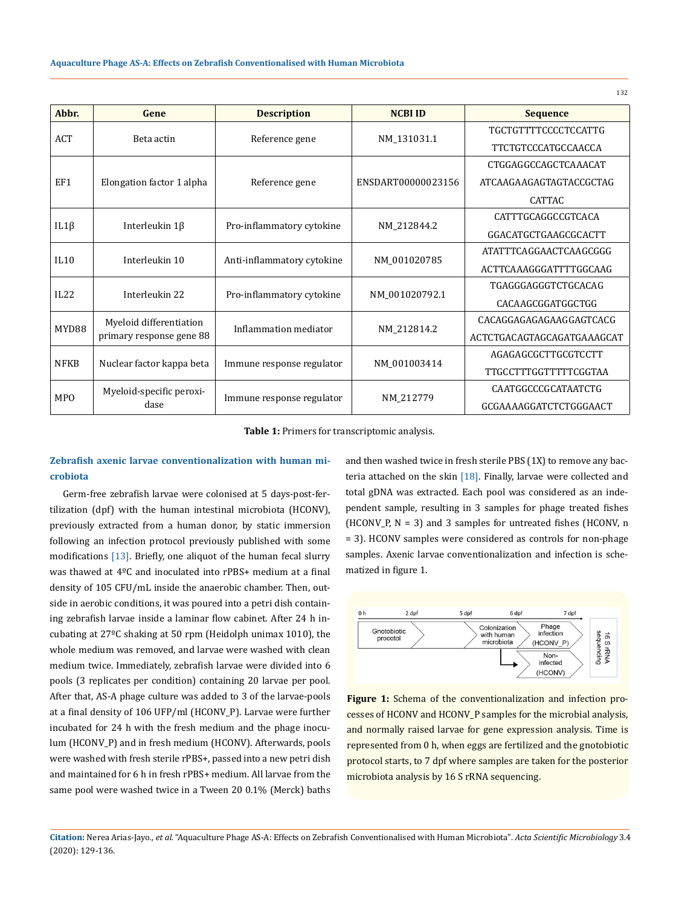| Abbr.       | Gene                             | <b>Description</b>         | <b>NCBI ID</b>                                                               | <b>Sequence</b>                |
|-------------|----------------------------------|----------------------------|------------------------------------------------------------------------------|--------------------------------|
| <b>ACT</b>  | Beta actin                       |                            | NM 131031.1<br>ENSDART00000023156                                            | <b>TGCTGTTTTCCCCTCCATTG</b>    |
|             |                                  | Reference gene             |                                                                              | TTCTGTCCCATGCCAACCA            |
|             |                                  |                            | NM 212844.2<br>NM 001020785<br>NM_001020792.1<br>NM_212814.2<br>NM 001003414 | CTGGAGGCCAGCTCAAACAT           |
| EF1         | Elongation factor 1 alpha        | Reference gene             |                                                                              | <b>ATCAAGAAGAGTAGTACCGCTAG</b> |
|             |                                  |                            |                                                                              | <b>CATTAC</b>                  |
|             |                                  |                            | NM 212779                                                                    | <b>CATTTGCAGGCCGTCACA</b>      |
| $IL1\beta$  | Interleukin $1\beta$             | Pro-inflammatory cytokine  |                                                                              | GGACATGCTGAAGCGCACTT           |
| IL10        | Interleukin 10                   |                            |                                                                              | ATATTTCAGGAACTCAAGCGGG         |
|             |                                  | Anti-inflammatory cytokine |                                                                              | ACTTCAAAGGGATTTTGGCAAG         |
| IL22        | Interleukin 22                   |                            |                                                                              | TGAGGGAGGGTCTGCACAG            |
|             |                                  | Pro-inflammatory cytokine  |                                                                              | CACAAGCGGATGGCTGG              |
| MYD88       | Myeloid differentiation          | Inflammation mediator      |                                                                              | CACAGGAGAGAGAAGGAGTCACG        |
|             | primary response gene 88         |                            |                                                                              | ACTCTGACAGTAGCAGATGAAAGCAT     |
| <b>NFKB</b> | Nuclear factor kappa beta        | Immune response regulator  |                                                                              | AGAGAGCGCTTGCGTCCTT            |
|             |                                  |                            |                                                                              | TTGCCTTTGGTTTTTCGGTAA          |
| <b>MPO</b>  | Myeloid-specific peroxi-<br>dase | Immune response regulator  |                                                                              | CAATGGCCCGCATAATCTG            |
|             |                                  |                            |                                                                              | GCGAAAAGGATCTCTGGGAACT         |

**Table 1:** Primers for transcriptomic analysis.

### **Zebrafish axenic larvae conventionalization with human microbiota**

Germ-free zebrafish larvae were colonised at 5 days-post-fertilization (dpf) with the human intestinal microbiota (HCONV), previously extracted from a human donor, by static immersion following an infection protocol previously published with some modifications [13]. Briefly, one aliquot of the human fecal slurry was thawed at 4ºC and inoculated into rPBS+ medium at a final density of 105 CFU/mL inside the anaerobic chamber. Then, outside in aerobic conditions, it was poured into a petri dish containing zebrafish larvae inside a laminar flow cabinet. After 24 h incubating at 27ºC shaking at 50 rpm (Heidolph unimax 1010), the whole medium was removed, and larvae were washed with clean medium twice. Immediately, zebrafish larvae were divided into 6 pools (3 replicates per condition) containing 20 larvae per pool. After that, AS-A phage culture was added to 3 of the larvae-pools at a final density of 106 UFP/ml (HCONV\_P). Larvae were further incubated for 24 h with the fresh medium and the phage inoculum (HCONV\_P) and in fresh medium (HCONV). Afterwards, pools were washed with fresh sterile rPBS+, passed into a new petri dish and maintained for 6 h in fresh rPBS+ medium. All larvae from the same pool were washed twice in a Tween 20 0.1% (Merck) baths and then washed twice in fresh sterile PBS (1X) to remove any bacteria attached on the skin [18]. Finally, larvae were collected and total gDNA was extracted. Each pool was considered as an independent sample, resulting in 3 samples for phage treated fishes (HCONV<sub>\_P</sub>,  $N = 3$ ) and 3 samples for untreated fishes (HCONV, n = 3). HCONV samples were considered as controls for non-phage samples. Axenic larvae conventionalization and infection is schematized in figure 1.



**Figure 1:** Schema of the conventionalization and infection processes of HCONV and HCONV\_P samples for the microbial analysis, and normally raised larvae for gene expression analysis. Time is represented from 0 h, when eggs are fertilized and the gnotobiotic protocol starts, to 7 dpf where samples are taken for the posterior microbiota analysis by 16 S rRNA sequencing.

**Citation:** Nerea Arias-Jayo*., et al.* "Aquaculture Phage AS-A: Effects on Zebrafish Conventionalised with Human Microbiota". *Acta Scientific Microbiology* 3.4 (2020): 129-136.

132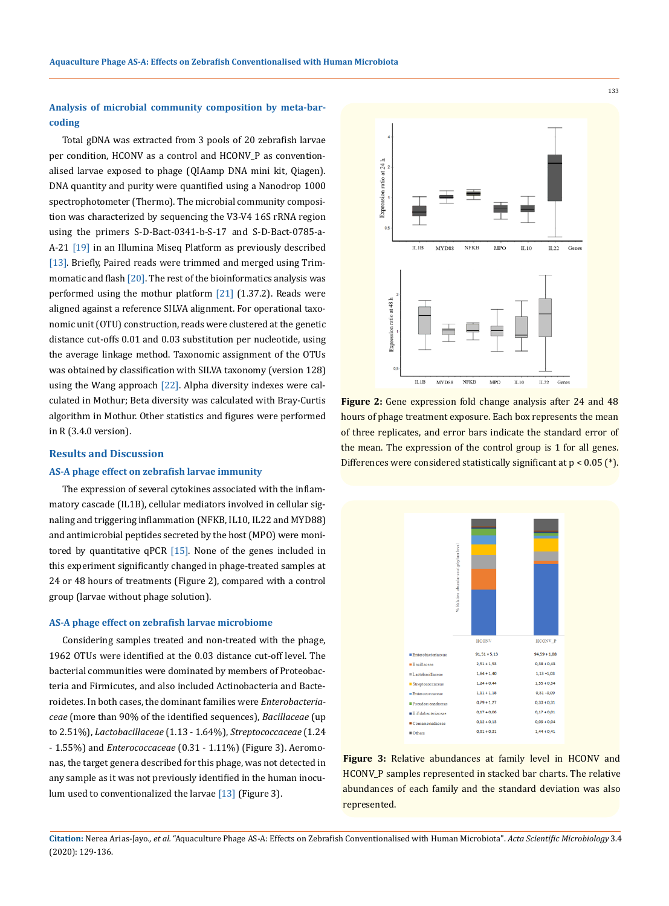## **Analysis of microbial community composition by meta-barcoding**

Total gDNA was extracted from 3 pools of 20 zebrafish larvae per condition, HCONV as a control and HCONV\_P as conventionalised larvae exposed to phage (QIAamp DNA mini kit, Qiagen). DNA quantity and purity were quantified using a Nanodrop 1000 spectrophotometer (Thermo). The microbial community composition was characterized by sequencing the V3-V4 16S rRNA region using the primers S-D-Bact-0341-b-S-17 and S-D-Bact-0785-a-A-21 [19] in an Illumina Miseq Platform as previously described [13]. Briefly, Paired reads were trimmed and merged using Trimmomatic and flash [20]. The rest of the bioinformatics analysis was performed using the mothur platform  $[21]$  (1.37.2). Reads were aligned against a reference SILVA alignment. For operational taxonomic unit (OTU) construction, reads were clustered at the genetic distance cut-offs 0.01 and 0.03 substitution per nucleotide, using the average linkage method. Taxonomic assignment of the OTUs was obtained by classification with SILVA taxonomy (version 128) using the Wang approach  $[22]$ . Alpha diversity indexes were calculated in Mothur; Beta diversity was calculated with Bray-Curtis algorithm in Mothur. Other statistics and figures were performed in R (3.4.0 version).

### **Results and Discussion**

### **AS-A phage effect on zebrafish larvae immunity**

The expression of several cytokines associated with the inflammatory cascade (IL1B), cellular mediators involved in cellular signaling and triggering inflammation (NFKB, IL10, IL22 and MYD88) and antimicrobial peptides secreted by the host (MPO) were monitored by quantitative qPCR  $[15]$ . None of the genes included in this experiment significantly changed in phage-treated samples at 24 or 48 hours of treatments (Figure 2), compared with a control group (larvae without phage solution).

### **AS-A phage effect on zebrafish larvae microbiome**

Considering samples treated and non-treated with the phage, 1962 OTUs were identified at the 0.03 distance cut-off level. The bacterial communities were dominated by members of Proteobacteria and Firmicutes, and also included Actinobacteria and Bacteroidetes. In both cases, the dominant families were *Enterobacteriaceae* (more than 90% of the identified sequences), *Bacillaceae* (up to 2.51%), *Lactobacillaceae* (1.13 - 1.64%), *Streptococcaceae* (1.24 - 1.55%) and *Enterococcaceae* (0.31 - 1.11%) (Figure 3). Aeromonas, the target genera described for this phage, was not detected in any sample as it was not previously identified in the human inoculum used to conventionalized the larvae [13] (Figure 3).



**Figure 2:** Gene expression fold change analysis after 24 and 48 hours of phage treatment exposure. Each box represents the mean of three replicates, and error bars indicate the standard error of the mean. The expression of the control group is 1 for all genes. Differences were considered statistically significant at p < 0.05 (\*).



**Figure 3:** Relative abundances at family level in HCONV and HCONV\_P samples represented in stacked bar charts. The relative abundances of each family and the standard deviation was also represented.

**Citation:** Nerea Arias-Jayo*., et al.* "Aquaculture Phage AS-A: Effects on Zebrafish Conventionalised with Human Microbiota". *Acta Scientific Microbiology* 3.4 (2020): 129-136.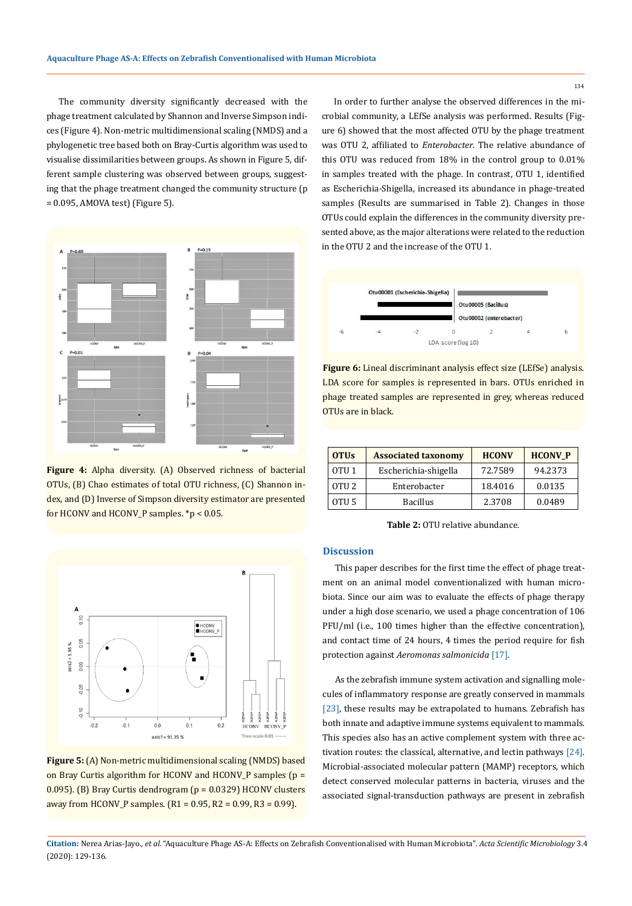The community diversity significantly decreased with the phage treatment calculated by Shannon and Inverse Simpson indices (Figure 4). Non-metric multidimensional scaling (NMDS) and a phylogenetic tree based both on Bray-Curtis algorithm was used to visualise dissimilarities between groups. As shown in Figure 5, different sample clustering was observed between groups, suggesting that the phage treatment changed the community structure (p = 0.095, AMOVA test) (Figure 5).



**Figure 4:** Alpha diversity. (A) Observed richness of bacterial OTUs, (B) Chao estimates of total OTU richness, (C) Shannon index, and (D) Inverse of Simpson diversity estimator are presented for HCONV and HCONV\_P samples. \*p < 0.05.



**Figure 5:** (A) Non-metric multidimensional scaling (NMDS) based on Bray Curtis algorithm for HCONV and HCONV\_P samples (p = 0.095). (B) Bray Curtis dendrogram (p = 0.0329) HCONV clusters away from HCONV\_P samples.  $(R1 = 0.95, R2 = 0.99, R3 = 0.99)$ .

In order to further analyse the observed differences in the microbial community, a LEfSe analysis was performed. Results (Figure 6) showed that the most affected OTU by the phage treatment was OTU 2, affiliated to *Enterobacter*. The relative abundance of this OTU was reduced from 18% in the control group to 0.01% in samples treated with the phage. In contrast, OTU 1, identified as Escherichia-Shigella, increased its abundance in phage-treated samples (Results are summarised in Table 2). Changes in those OTUs could explain the differences in the community diversity presented above, as the major alterations were related to the reduction in the OTU 2 and the increase of the OTU 1.



**Figure 6:** Lineal discriminant analysis effect size (LEfSe) analysis. LDA score for samples is represented in bars. OTUs enriched in phage treated samples are represented in grey, whereas reduced OTUs are in black.

| <b>OTUs</b>      | <b>Associated taxonomy</b> | <b>HCONV</b> | <b>HCONV P</b> |
|------------------|----------------------------|--------------|----------------|
| OTU <sub>1</sub> | Escherichia-shigella       | 72.7589      | 94.2373        |
| OTU <sub>2</sub> | Enterobacter               | 18.4016      | 0.0135         |
| OTU <sub>5</sub> | <b>Bacillus</b>            | 2.3708       | 0.0489         |

**Table 2:** OTU relative abundance.

### **Discussion**

This paper describes for the first time the effect of phage treatment on an animal model conventionalized with human microbiota. Since our aim was to evaluate the effects of phage therapy under a high dose scenario, we used a phage concentration of 106 PFU/ml (i.e., 100 times higher than the effective concentration), and contact time of 24 hours, 4 times the period require for fish protection against *Aeromonas salmonicida* [17].

As the zebrafish immune system activation and signalling molecules of inflammatory response are greatly conserved in mammals [23], these results may be extrapolated to humans. Zebrafish has both innate and adaptive immune systems equivalent to mammals. This species also has an active complement system with three activation routes: the classical, alternative, and lectin pathways [24]. Microbial-associated molecular pattern (MAMP) receptors, which detect conserved molecular patterns in bacteria, viruses and the associated signal-transduction pathways are present in zebrafish

**Citation:** Nerea Arias-Jayo*., et al.* "Aquaculture Phage AS-A: Effects on Zebrafish Conventionalised with Human Microbiota". *Acta Scientific Microbiology* 3.4 (2020): 129-136.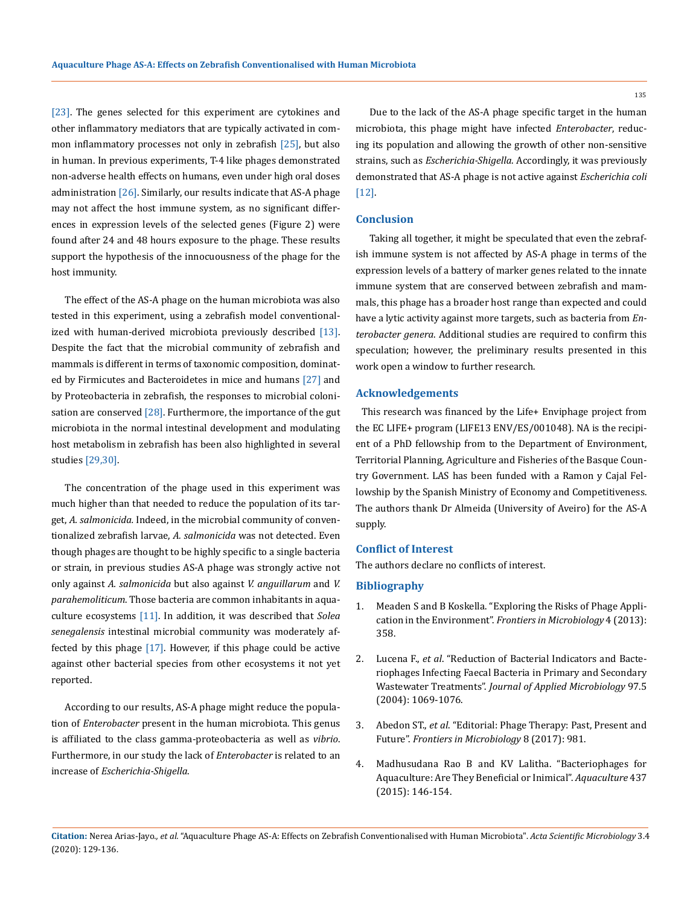[23]. The genes selected for this experiment are cytokines and other inflammatory mediators that are typically activated in common inflammatory processes not only in zebrafish [25], but also in human. In previous experiments, T-4 like phages demonstrated non-adverse health effects on humans, even under high oral doses administration  $[26]$ . Similarly, our results indicate that AS-A phage may not affect the host immune system, as no significant differences in expression levels of the selected genes (Figure 2) were found after 24 and 48 hours exposure to the phage. These results support the hypothesis of the innocuousness of the phage for the host immunity.

The effect of the AS-A phage on the human microbiota was also tested in this experiment, using a zebrafish model conventionalized with human-derived microbiota previously described [13]. Despite the fact that the microbial community of zebrafish and mammals is different in terms of taxonomic composition, dominated by Firmicutes and Bacteroidetes in mice and humans [27] and by Proteobacteria in zebrafish, the responses to microbial colonisation are conserved  $[28]$ . Furthermore, the importance of the gut microbiota in the normal intestinal development and modulating host metabolism in zebrafish has been also highlighted in several studies [29,30].

The concentration of the phage used in this experiment was much higher than that needed to reduce the population of its target, *A. salmonicida.* Indeed, in the microbial community of conventionalized zebrafish larvae, *A. salmonicida* was not detected. Even though phages are thought to be highly specific to a single bacteria or strain, in previous studies AS-A phage was strongly active not only against *A. salmonicida* but also against *V. anguillarum* and *V. parahemoliticum*. Those bacteria are common inhabitants in aquaculture ecosystems [11]. In addition, it was described that *Solea senegalensis* intestinal microbial community was moderately affected by this phage [17]. However, if this phage could be active against other bacterial species from other ecosystems it not yet reported.

According to our results, AS-A phage might reduce the population of *Enterobacter* present in the human microbiota. This genus is affiliated to the class gamma-proteobacteria as well as *vibrio*. Furthermore, in our study the lack of *Enterobacter* is related to an increase of *Escherichia-Shigella*.

Due to the lack of the AS-A phage specific target in the human microbiota, this phage might have infected *Enterobacter*, reducing its population and allowing the growth of other non-sensitive strains, such as *Escherichia-Shigella*. Accordingly, it was previously demonstrated that AS-A phage is not active against *Escherichia coli* [12].

### **Conclusion**

Taking all together, it might be speculated that even the zebrafish immune system is not affected by AS-A phage in terms of the expression levels of a battery of marker genes related to the innate immune system that are conserved between zebrafish and mammals, this phage has a broader host range than expected and could have a lytic activity against more targets, such as bacteria from *Enterobacter genera*. Additional studies are required to confirm this speculation; however, the preliminary results presented in this work open a window to further research.

### **Acknowledgements**

This research was financed by the Life+ Enviphage project from the EC LIFE+ program (LIFE13 ENV/ES/001048). NA is the recipient of a PhD fellowship from to the Department of Environment, Territorial Planning, Agriculture and Fisheries of the Basque Country Government. LAS has been funded with a Ramon y Cajal Fellowship by the Spanish Ministry of Economy and Competitiveness. The authors thank Dr Almeida (University of Aveiro) for the AS-A supply.

#### **Conflict of Interest**

The authors declare no conflicts of interest.

### **Bibliography**

- 1. [Meaden S and B Koskella. "Exploring the Risks of Phage Appli](https://www.ncbi.nlm.nih.gov/pubmed/24348468)cation in the Environment". *[Frontiers in Microbiology](https://www.ncbi.nlm.nih.gov/pubmed/24348468)* 4 (2013): [358.](https://www.ncbi.nlm.nih.gov/pubmed/24348468)
- 2. Lucena F., *et al*[. "Reduction of Bacterial Indicators and Bacte](https://www.researchgate.net/publication/8237579_Reduction_of_bacterial_indicators_and_bacteriophages_infecting_faecal_bacteria_in_primary_and_secondary_wastewater_treatments)[riophages Infecting Faecal Bacteria in Primary and Secondary](https://www.researchgate.net/publication/8237579_Reduction_of_bacterial_indicators_and_bacteriophages_infecting_faecal_bacteria_in_primary_and_secondary_wastewater_treatments)  Wastewater Treatments". *[Journal of Applied Microbiology](https://www.researchgate.net/publication/8237579_Reduction_of_bacterial_indicators_and_bacteriophages_infecting_faecal_bacteria_in_primary_and_secondary_wastewater_treatments)* 97.5 [\(2004\): 1069-1076.](https://www.researchgate.net/publication/8237579_Reduction_of_bacterial_indicators_and_bacteriophages_infecting_faecal_bacteria_in_primary_and_secondary_wastewater_treatments)
- 3. Abedon ST., *et al*[. "Editorial: Phage Therapy: Past, Present and](file:///D:/Acta%20PDF%20Data/ASMI/ASMI-20-RA-071%20P/v)  Future". *[Frontiers in Microbiology](file:///D:/Acta%20PDF%20Data/ASMI/ASMI-20-RA-071%20P/v)* 8 (2017): 981.
- 4. [Madhusudana Rao B and KV Lalitha. "Bacteriophages for](https://www.researchgate.net/publication/273192541_Bacteriophages_for_aquaculture_Are_they_beneficial_or_inimical)  [Aquaculture: Are They Beneficial or Inimical".](https://www.researchgate.net/publication/273192541_Bacteriophages_for_aquaculture_Are_they_beneficial_or_inimical) *Aquaculture* 437 [\(2015\): 146-154.](https://www.researchgate.net/publication/273192541_Bacteriophages_for_aquaculture_Are_they_beneficial_or_inimical)

135

**Citation:** Nerea Arias-Jayo*., et al.* "Aquaculture Phage AS-A: Effects on Zebrafish Conventionalised with Human Microbiota". *Acta Scientific Microbiology* 3.4 (2020): 129-136.